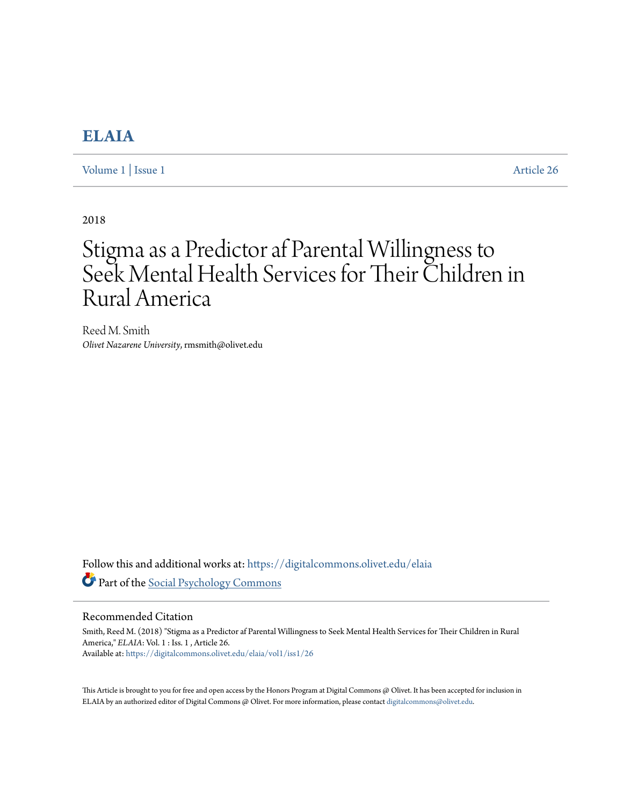# **[ELAIA](https://digitalcommons.olivet.edu/elaia?utm_source=digitalcommons.olivet.edu%2Felaia%2Fvol1%2Fiss1%2F26&utm_medium=PDF&utm_campaign=PDFCoverPages)**

[Volume 1](https://digitalcommons.olivet.edu/elaia/vol1?utm_source=digitalcommons.olivet.edu%2Felaia%2Fvol1%2Fiss1%2F26&utm_medium=PDF&utm_campaign=PDFCoverPages) | [Issue 1](https://digitalcommons.olivet.edu/elaia/vol1/iss1?utm_source=digitalcommons.olivet.edu%2Felaia%2Fvol1%2Fiss1%2F26&utm_medium=PDF&utm_campaign=PDFCoverPages) [Article 26](https://digitalcommons.olivet.edu/elaia/vol1/iss1/26?utm_source=digitalcommons.olivet.edu%2Felaia%2Fvol1%2Fiss1%2F26&utm_medium=PDF&utm_campaign=PDFCoverPages)

2018

# Stigma as a Predictor af Parental Willingness to Seek Mental Health Services for Their Children in Rural America

Reed M. Smith *Olivet Nazarene University*, rmsmith@olivet.edu

Follow this and additional works at: [https://digitalcommons.olivet.edu/elaia](https://digitalcommons.olivet.edu/elaia?utm_source=digitalcommons.olivet.edu%2Felaia%2Fvol1%2Fiss1%2F26&utm_medium=PDF&utm_campaign=PDFCoverPages) Part of the [Social Psychology Commons](http://network.bepress.com/hgg/discipline/414?utm_source=digitalcommons.olivet.edu%2Felaia%2Fvol1%2Fiss1%2F26&utm_medium=PDF&utm_campaign=PDFCoverPages)

#### Recommended Citation

Smith, Reed M. (2018) "Stigma as a Predictor af Parental Willingness to Seek Mental Health Services for Their Children in Rural America," *ELAIA*: Vol. 1 : Iss. 1 , Article 26. Available at: [https://digitalcommons.olivet.edu/elaia/vol1/iss1/26](https://digitalcommons.olivet.edu/elaia/vol1/iss1/26?utm_source=digitalcommons.olivet.edu%2Felaia%2Fvol1%2Fiss1%2F26&utm_medium=PDF&utm_campaign=PDFCoverPages)

This Article is brought to you for free and open access by the Honors Program at Digital Commons @ Olivet. It has been accepted for inclusion in ELAIA by an authorized editor of Digital Commons @ Olivet. For more information, please contact [digitalcommons@olivet.edu.](mailto:digitalcommons@olivet.edu)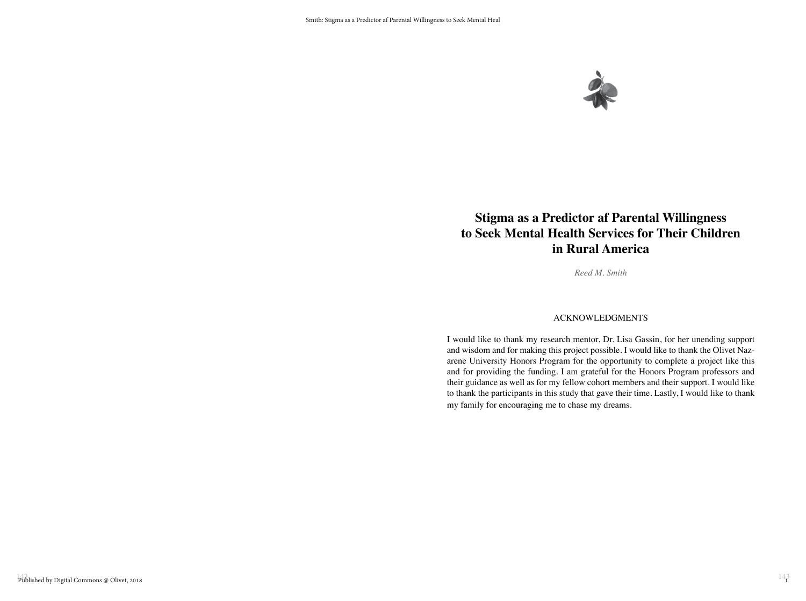

# **Stigma as a Predictor af Parental Willingness to Seek Mental Health Services for Their Children in Rural America**

*Reed M. Smith*

#### ACKNOWLEDGMENTS

I would like to thank my research mentor, Dr. Lisa Gassin, for her unending support and wisdom and for making this project possible. I would like to thank the Olivet Nazarene University Honors Program for the opportunity to complete a project like this and for providing the funding. I am grateful for the Honors Program professors and their guidance as well as for my fellow cohort members and their support. I would like to thank the participants in this study that gave their time. Lastly, I would like to thank my family for encouraging me to chase my dreams.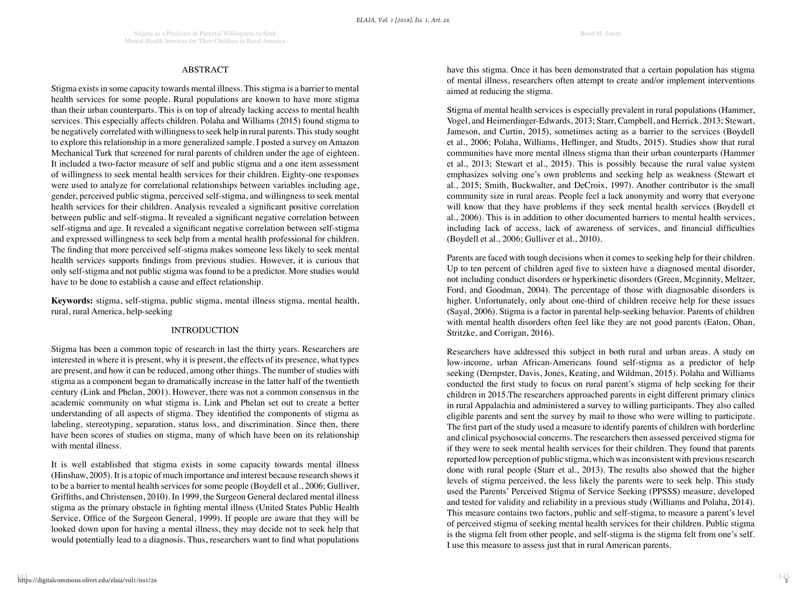#### ABSTRACT

Stigma exists in some capacity towards mental illness. This stigma is a barrier to mental health services for some people. Rural populations are known to have more stigma than their urban counterparts. This is on top of already lacking access to mental health services. This especially affects children. Polaha and Williams (2015) found stigma to be negatively correlated with willingness to seek help in rural parents. This study sought to explore this relationship in a more generalized sample. I posted a survey on Amazon Mechanical Turk that screened for rural parents of children under the age of eighteen. It included a two-factor measure of self and public stigma and a one item assessment of willingness to seek mental health services for their children. Eighty-one responses were used to analyze for correlational relationships between variables including age, gender, perceived public stigma, perceived self-stigma, and willingness to seek mental health services for their children. Analysis revealed a significant positive correlation between public and self-stigma. It revealed a significant negative correlation between self-stigma and age. It revealed a significant negative correlation between self-stigma and expressed willingness to seek help from a mental health professional for children. The finding that more perceived self-stigma makes someone less likely to seek mental health services supports findings from previous studies. However, it is curious that only self-stigma and not public stigma was found to be a predictor. More studies would have to be done to establish a cause and effect relationship.

**Keywords:** stigma, self-stigma, public stigma, mental illness stigma, mental health, rural, rural America, help-seeking

#### INTRODUCTION

Stigma has been a common topic of research in last the thirty years. Researchers are interested in where it is present, why it is present, the effects of its presence, what types are present, and how it can be reduced, among other things. The number of studies with stigma as a component began to dramatically increase in the latter half of the twentieth century (Link and Phelan, 2001). However, there was not a common consensus in the academic community on what stigma is. Link and Phelan set out to create a better understanding of all aspects of stigma. They identified the components of stigma as labeling, stereotyping, separation, status loss, and discrimination. Since then, there have been scores of studies on stigma, many of which have been on its relationship with mental illness.

It is well established that stigma exists in some capacity towards mental illness (Hinshaw, 2005). It is a topic of much importance and interest because research shows it to be a barrier to mental health services for some people (Boydell et al., 2006; Gulliver, Griffiths, and Christensen, 2010). In 1999, the Surgeon General declared mental illness stigma as the primary obstacle in fighting mental illness (United States Public Health Service, Office of the Surgeon General, 1999). If people are aware that they will be looked down upon for having a mental illness, they may decide not to seek help that would potentially lead to a diagnosis. Thus, researchers want to find what populations have this stigma. Once it has been demonstrated that a certain population has stigma of mental illness, researchers often attempt to create and/or implement interventions aimed at reducing the stigma.

Stigma of mental health services is especially prevalent in rural populations (Hammer, Vogel, and Heimerdinger-Edwards, 2013; Starr, Campbell, and Herrick, 2013; Stewart, Jameson, and Curtin, 2015), sometimes acting as a barrier to the services (Boydell et al., 2006; Polaha, Williams, Heflinger, and Studts, 2015). Studies show that rural communities have more mental illness stigma than their urban counterparts (Hammer et al., 2013; Stewart et al., 2015). This is possibly because the rural value system emphasizes solving one's own problems and seeking help as weakness (Stewart et al., 2015; Smith, Buckwalter, and DeCroix, 1997). Another contributor is the small community size in rural areas. People feel a lack anonymity and worry that everyone will know that they have problems if they seek mental health services (Boydell et al., 2006). This is in addition to other documented barriers to mental health services, including lack of access, lack of awareness of services, and financial difficulties (Boydell et al., 2006; Gulliver et al., 2010).

Parents are faced with tough decisions when it comes to seeking help for their children. Up to ten percent of children aged five to sixteen have a diagnosed mental disorder, not including conduct disorders or hyperkinetic disorders (Green, Mcginnity, Meltzer, Ford, and Goodman, 2004). The percentage of those with diagnosable disorders is higher. Unfortunately, only about one-third of children receive help for these issues (Sayal, 2006). Stigma is a factor in parental help-seeking behavior. Parents of children with mental health disorders often feel like they are not good parents (Eaton, Ohan, Stritzke, and Corrigan, 2016).

Researchers have addressed this subject in both rural and urban areas. A study on low-income, urban African-Americans found self-stigma as a predictor of help seeking (Dempster, Davis, Jones, Keating, and Wildman, 2015). Polaha and Williams conducted the first study to focus on rural parent's stigma of help seeking for their children in 2015.The researchers approached parents in eight different primary clinics in rural Appalachia and administered a survey to willing participants. They also called eligible parents and sent the survey by mail to those who were willing to participate. The first part of the study used a measure to identify parents of children with borderline and clinical psychosocial concerns. The researchers then assessed perceived stigma for if they were to seek mental health services for their children. They found that parents reported low perception of public stigma, which was inconsistent with previous research done with rural people (Starr et al., 2013). The results also showed that the higher levels of stigma perceived, the less likely the parents were to seek help. This study used the Parents' Perceived Stigma of Service Seeking (PPSSS) measure, developed and tested for validity and reliability in a previous study (Williams and Polaha, 2014). This measure contains two factors, public and self-stigma, to measure a parent's level of perceived stigma of seeking mental health services for their children. Public stigma is the stigma felt from other people, and self-stigma is the stigma felt from one's self. I use this measure to assess just that in rural American parents.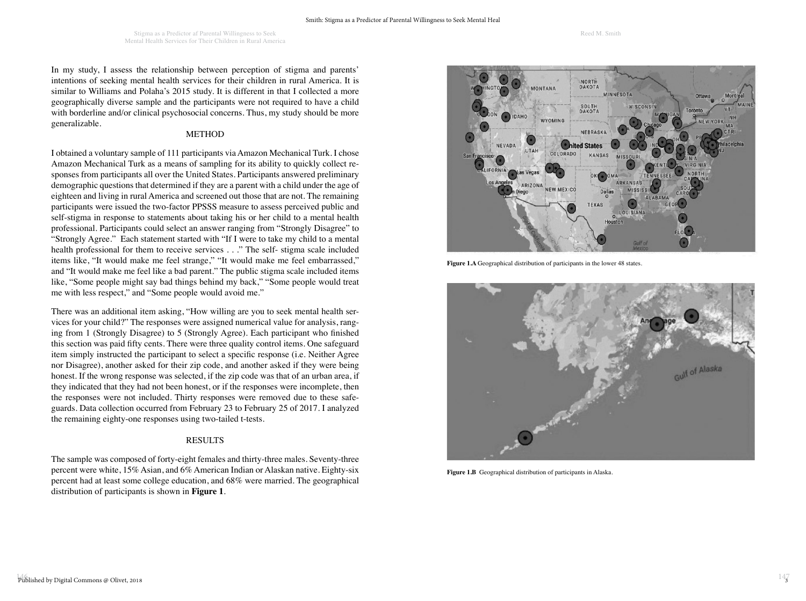In my study, I assess the relationship between perception of stigma and parents' intentions of seeking mental health services for their children in rural America. It is similar to Williams and Polaha's 2015 study. It is different in that I collected a more geographically diverse sample and the participants were not required to have a child with borderline and/or clinical psychosocial concerns. Thus, my study should be more generalizable.

#### METHOD

I obtained a voluntary sample of 111 participants via Amazon Mechanical Turk. I chose Amazon Mechanical Turk as a means of sampling for its ability to quickly collect responses from participants all over the United States. Participants answered preliminary demographic questions that determined if they are a parent with a child under the age of eighteen and living in rural America and screened out those that are not. The remaining participants were issued the two-factor PPSSS measure to assess perceived public and self-stigma in response to statements about taking his or her child to a mental health professional. Participants could select an answer ranging from "Strongly Disagree" to "Strongly Agree." Each statement started with "If I were to take my child to a mental health professional for them to receive services . . ." The self- stigma scale included items like, "It would make me feel strange," "It would make me feel embarrassed," and "It would make me feel like a bad parent." The public stigma scale included items like, "Some people might say bad things behind my back," "Some people would treat me with less respect," and "Some people would avoid me."

There was an additional item asking, "How willing are you to seek mental health services for your child?" The responses were assigned numerical value for analysis, ranging from 1 (Strongly Disagree) to 5 (Strongly Agree). Each participant who finished this section was paid fifty cents. There were three quality control items. One safeguard item simply instructed the participant to select a specific response (i.e. Neither Agree nor Disagree), another asked for their zip code, and another asked if they were being honest. If the wrong response was selected, if the zip code was that of an urban area, if they indicated that they had not been honest, or if the responses were incomplete, then the responses were not included. Thirty responses were removed due to these safeguards. Data collection occurred from February 23 to February 25 of 2017. I analyzed the remaining eighty-one responses using two-tailed t-tests.

#### **RESULTS**

The sample was composed of forty-eight females and thirty-three males. Seventy-three percent were white, 15% Asian, and 6% American Indian or Alaskan native. Eighty-six percent had at least some college education, and 68% were married. The geographical distribution of participants is shown in **Figure 1**.



**Figure 1.A** Geographical distribution of participants in the lower 48 states.



**Figure 1.B** Geographical distribution of participants in Alaska.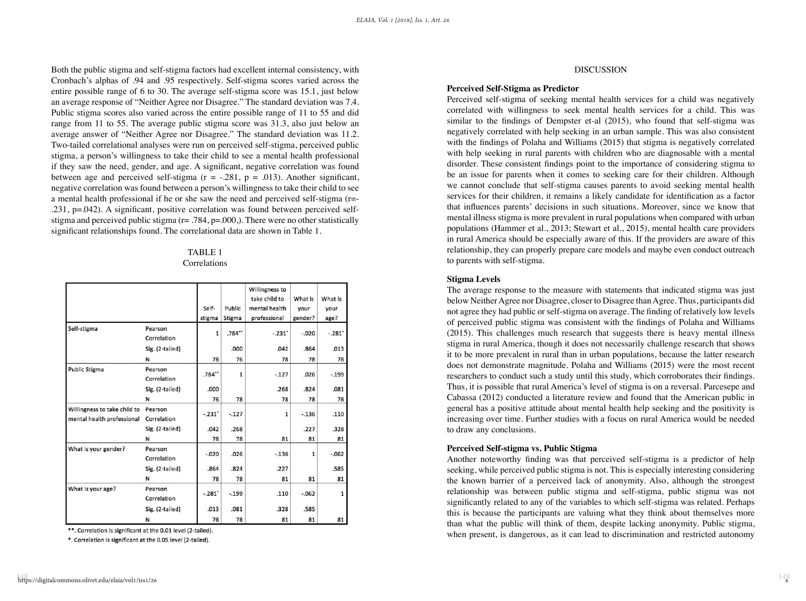Both the public stigma and self-stigma factors had excellent internal consistency, with Cronbach's alphas of .94 and .95 respectively. Self-stigma scores varied across the entire possible range of 6 to 30. The average self-stigma score was 15.1, just below an average response of "Neither Agree nor Disagree." The standard deviation was 7.4. Public stigma scores also varied across the entire possible range of 11 to 55 and did range from 11 to 55. The average public stigma score was 31.3, also just below an average answer of "Neither Agree nor Disagree." The standard deviation was 11.2. Two-tailed correlational analyses were run on perceived self-stigma, perceived public stigma, a person's willingness to take their child to see a mental health professional if they saw the need, gender, and age. A significant, negative correlation was found between age and perceived self-stigma ( $r = -.281$ ,  $p = .013$ ). Another significant, negative correlation was found between a person's willingness to take their child to see a mental health professional if he or she saw the need and perceived self-stigma (r=- .231, p=.042). A significant, positive correlation was found between perceived selfstigma and perceived public stigma ( $r = .784$ ,  $p = .000$ ). There were no other statistically significant relationships found. The correlational data are shown in Table 1.

### TABLE 1

#### Correlations

|                                                            |                        | Self-<br>stigma | Public<br>Stigma | Willingness to<br>take child to<br>mental health<br>professional | What is<br>your<br>gender? | What is<br>your<br>age? |
|------------------------------------------------------------|------------------------|-----------------|------------------|------------------------------------------------------------------|----------------------------|-------------------------|
| Self-stigma                                                | Pearson<br>Correlation | 1               | .784             | $-.231'$                                                         | $-.020$                    | $-.281'$                |
|                                                            | Sig. (2-tailed)        |                 | .000             | .042                                                             | .864                       | .013                    |
|                                                            | N                      | 78              | 76               | 78                                                               | 78                         | 78                      |
| <b>Public Stigma</b>                                       | Pearson<br>Correlation | .784            | 1                | $-.127$                                                          | .026                       | $-.199$                 |
|                                                            | Sig. (2-tailed)        | .000            |                  | .268                                                             | .824                       | .081                    |
|                                                            | N                      | 76              | 78               | 78                                                               | 78                         | 78                      |
| Willingness to take child to<br>mental health professional | Pearson<br>Correlation | $-.231"$        | $-.127$          | 1                                                                | $-.136$                    | .110                    |
|                                                            | Sig. (2-tailed)        | .042            | .268             |                                                                  | .227                       | .328                    |
|                                                            | N                      | 78              | 78               | 81                                                               | 81                         | 81                      |
| What is your gender?                                       | Pearson<br>Correlation | $-.020$         | .026             | $-.136$                                                          | 1                          | $-.062$                 |
|                                                            | Sig. (2-tailed)        | .864            | .824             | .227                                                             |                            | .585                    |
|                                                            | N                      | 78              | 78               | 81                                                               | 81                         | 81                      |
| What is your age?                                          | Pearson<br>Correlation | $-.281"$        | $-.199$          | .110                                                             | $-062$                     | 1                       |
|                                                            | Sig. (2-tailed)        | .013            | .081             | .328                                                             | .585                       |                         |
|                                                            | N                      | 78              | 78               | 81                                                               | 81                         | 81                      |

\*\*. Correlation is significant at the 0.01 level (2-tailed).

\*. Correlation is significant at the 0.05 level (2-tailed).

## 148 149 https://digitalcommons.olivet.edu/elaia/vol1/iss1/26

#### DISCUSSION

#### **Perceived Self-Stigma as Predictor**

Perceived self-stigma of seeking mental health services for a child was negatively correlated with willingness to seek mental health services for a child. This was similar to the findings of Dempster et-al (2015), who found that self-stigma was negatively correlated with help seeking in an urban sample. This was also consistent with the findings of Polaha and Williams (2015) that stigma is negatively correlated with help seeking in rural parents with children who are diagnosable with a mental disorder. These consistent findings point to the importance of considering stigma to be an issue for parents when it comes to seeking care for their children. Although we cannot conclude that self-stigma causes parents to avoid seeking mental health services for their children, it remains a likely candidate for identification as a factor that influences parents' decisions in such situations. Moreover, since we know that mental illness stigma is more prevalent in rural populations when compared with urban populations (Hammer et al., 2013; Stewart et al., 2015), mental health care providers in rural America should be especially aware of this. If the providers are aware of this relationship, they can properly prepare care models and maybe even conduct outreach to parents with self-stigma.

#### **Stigma Levels**

The average response to the measure with statements that indicated stigma was just below Neither Agree nor Disagree, closer to Disagree than Agree. Thus, participants did not agree they had public or self-stigma on average. The finding of relatively low levels of perceived public stigma was consistent with the findings of Polaha and Williams (2015). This challenges much research that suggests there is heavy mental illness stigma in rural America, though it does not necessarily challenge research that shows it to be more prevalent in rural than in urban populations, because the latter research does not demonstrate magnitude. Polaha and Williams (2015) were the most recent researchers to conduct such a study until this study, which corroborates their findings. Thus, it is possible that rural America's level of stigma is on a reversal. Parcesepe and Cabassa (2012) conducted a literature review and found that the American public in general has a positive attitude about mental health help seeking and the positivity is increasing over time. Further studies with a focus on rural America would be needed to draw any conclusions.

#### **Perceived Self-stigma vs. Public Stigma**

Another noteworthy finding was that perceived self-stigma is a predictor of help seeking, while perceived public stigma is not. This is especially interesting considering the known barrier of a perceived lack of anonymity. Also, although the strongest relationship was between public stigma and self-stigma, public stigma was not significantly related to any of the variables to which self-stigma was related. Perhaps this is because the participants are valuing what they think about themselves more than what the public will think of them, despite lacking anonymity. Public stigma, when present, is dangerous, as it can lead to discrimination and restricted autonomy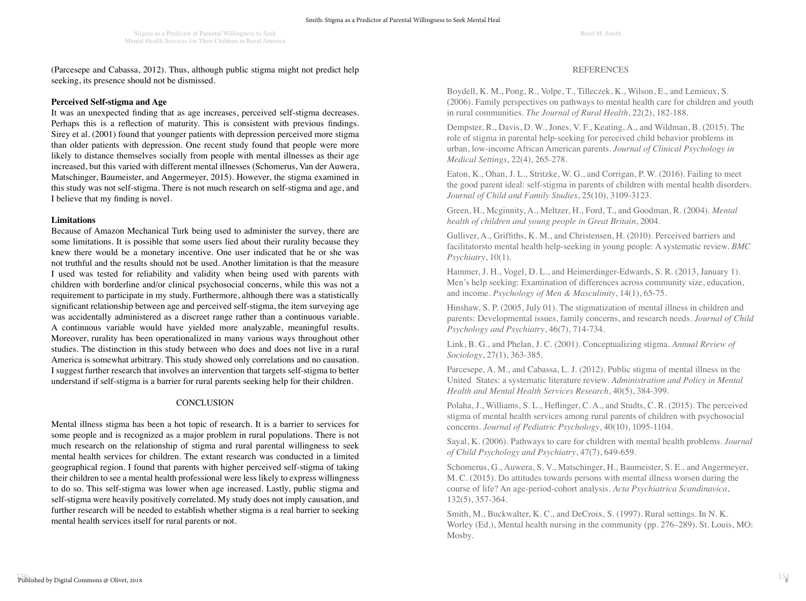(Parcesepe and Cabassa, 2012). Thus, although public stigma might not predict help seeking, its presence should not be dismissed.

#### **Perceived Self-stigma and Age**

It was an unexpected finding that as age increases, perceived self-stigma decreases. Perhaps this is a reflection of maturity. This is consistent with previous findings. Sirey et al. (2001) found that younger patients with depression perceived more stigma than older patients with depression. One recent study found that people were more likely to distance themselves socially from people with mental illnesses as their age increased, but this varied with different mental illnesses (Schomerus, Van der Auwera, Matschinger, Baumeister, and Angermeyer, 2015). However, the stigma examined in this study was not self-stigma. There is not much research on self-stigma and age, and I believe that my finding is novel.

#### **Limitations**

Because of Amazon Mechanical Turk being used to administer the survey, there are some limitations. It is possible that some users lied about their rurality because they knew there would be a monetary incentive. One user indicated that he or she was not truthful and the results should not be used. Another limitation is that the measure I used was tested for reliability and validity when being used with parents with children with borderline and/or clinical psychosocial concerns, while this was not a requirement to participate in my study. Furthermore, although there was a statistically significant relationship between age and perceived self-stigma, the item surveying age was accidentally administered as a discreet range rather than a continuous variable. A continuous variable would have yielded more analyzable, meaningful results. Moreover, rurality has been operationalized in many various ways throughout other studies. The distinction in this study between who does and does not live in a rural America is somewhat arbitrary. This study showed only correlations and no causation. I suggest further research that involves an intervention that targets self-stigma to better understand if self-stigma is a barrier for rural parents seeking help for their children.

#### **CONCLUSION**

Mental illness stigma has been a hot topic of research. It is a barrier to services for some people and is recognized as a major problem in rural populations. There is not much research on the relationship of stigma and rural parental willingness to seek mental health services for children. The extant research was conducted in a limited geographical region. I found that parents with higher perceived self-stigma of taking their children to see a mental health professional were less likely to express willingness to do so. This self-stigma was lower when age increased. Lastly, public stigma and self-stigma were heavily positively correlated. My study does not imply causation, and further research will be needed to establish whether stigma is a real barrier to seeking mental health services itself for rural parents or not.

#### REFERENCES

Boydell, K. M., Pong, R., Volpe, T., Tilleczek, K., Wilson, E., and Lemieux, S. (2006). Family perspectives on pathways to mental health care for children and youth in rural communities. *The Journal of Rural Health*, 22(2), 182-188.

Dempster, R., Davis, D. W., Jones, V. F., Keating, A., and Wildman, B. (2015). The role of stigma in parental help-seeking for perceived child behavior problems in urban, low-income African American parents. *Journal of Clinical Psychology in Medical Settings*, 22(4), 265-278.

Eaton, K., Ohan, J. L., Stritzke, W. G., and Corrigan, P. W. (2016). Failing to meet the good parent ideal: self-stigma in parents of children with mental health disorders. *Journal of Child and Family Studies*, 25(10), 3109-3123.

Green, H., Mcginnity, A., Meltzer, H., Ford, T., and Goodman, R. (2004). *Mental health of children and young people in Great Britain*, 2004.

Gulliver, A., Griffiths, K. M., and Christensen, H. (2010). Perceived barriers and facilitatorsto mental health help-seeking in young people: A systematic review. *BMC Psychiatry*, 10(1).

Hammer, J. H., Vogel, D. L., and Heimerdinger-Edwards, S. R. (2013, January 1). Men's help seeking: Examination of differences across community size, education, and income. *Psychology of Men & Masculinity*, 14(1), 65-75.

Hinshaw, S. P. (2005, July 01). The stigmatization of mental illness in children and parents: Developmental issues, family concerns, and research needs. *Journal of Child Psychology and Psychiatry*, 46(7), 714-734.

Link, B. G., and Phelan, J. C. (2001). Conceptualizing stigma. *Annual Review of Sociology*, 27(1), 363-385.

Parcesepe, A. M., and Cabassa, L. J. (2012). Public stigma of mental illness in the United States: a systematic literature review. *Administration and Policy in Mental Health and Mental Health Services Research*, 40(5), 384-399.

Polaha, J., Williams, S. L., Heflinger, C. A., and Studts, C. R. (2015). The perceived stigma of mental health services among rural parents of children with psychosocial concerns. *Journal of Pediatric Psychology*, 40(10), 1095-1104.

Sayal, K. (2006). Pathways to care for children with mental health problems. *Journal of Child Psychology and Psychiatry*, 47(7), 649-659.

Schomerus, G., Auwera, S. V., Matschinger, H., Baumeister, S. E., and Angermeyer, M. C. (2015). Do attitudes towards persons with mental illness worsen during the course of life? An age-period-cohort analysis. *Acta Psychiatrica Scandinavica*, 132(5), 357-364.

Smith, M., Buckwalter, K. C., and DeCroix, S. (1997). Rural settings. In N. K. Worley (Ed.), Mental health nursing in the community (pp. 276–289). St. Louis, MO: Mosby.